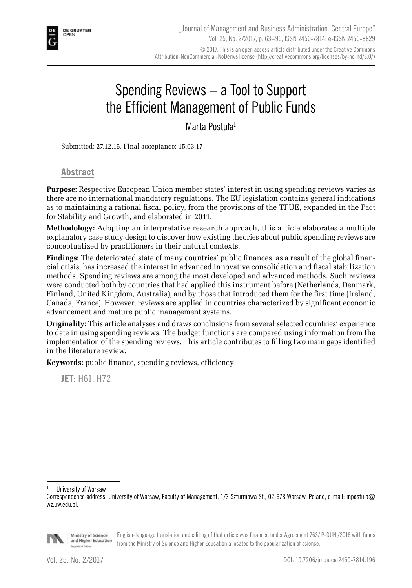# Spending Reviews – a Tool to Support the Efficient Management of Public Funds

Marta Postuła<sup>1</sup>

Submitted: 27.12.16. Final acceptance: 15.03.17

**Abstract**

**Purpose:** Respective European Union member states' interest in using spending reviews varies as there are no international mandatory regulations. The EU legislation contains general indications as to maintaining a rational fiscal policy, from the provisions of the TFUE, expanded in the Pact for Stability and Growth, and elaborated in 2011.

**Methodology:** Adopting an interpretative research approach, this article elaborates a multiple explanatory case study design to discover how existing theories about public spending reviews are conceptualized by practitioners in their natural contexts.

**Findings:** The deteriorated state of many countries' public finances, as a result of the global financial crisis, has increased the interest in advanced innovative consolidation and fiscal stabilization methods. Spending reviews are among the most developed and advanced methods. Such reviews were conducted both by countries that had applied this instrument before (Netherlands, Denmark, Finland, United Kingdom, Australia), and by those that introduced them for the first time (Ireland, Canada, France). However, reviews are applied in countries characterized by significant economic advancement and mature public management systems.

**Originality:** This article analyses and draws conclusions from several selected countries' experience to date in using spending reviews. The budget functions are compared using information from the implementation of the spending reviews. This article contributes to filling two main gaps identified in the literature review.

**Keywords:** public finance, spending reviews, efficiency

**JET:** H61, H72

Correspondence address: University of Warsaw, Faculty of Management, 1/3 Szturmowa St., 02-678 Warsaw, Poland, e-mail: mpostula@ wz.uw.edu.pl.



Ministry of Science English-language translation and editing of that article was financed under Agreement 763/ P-DUN /2016 with funds and Higher Education from the Ministry of Science and Higher Education allocated to the popularization of science.

**University of Warsaw**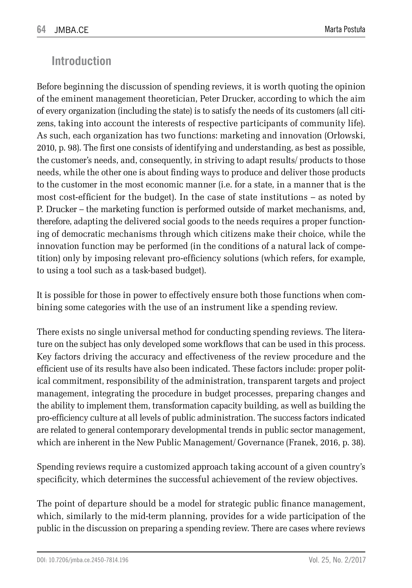## **Introduction**

Before beginning the discussion of spending reviews, it is worth quoting the opinion of the eminent management theoretician, Peter Drucker, according to which the aim of every organization (including the state) is to satisfy the needs of its customers (all citizens, taking into account the interests of respective participants of community life). As such, each organization has two functions: marketing and innovation (Orłowski, 2010, p. 98). The first one consists of identifying and understanding, as best as possible, the customer's needs, and, consequently, in striving to adapt results/ products to those needs, while the other one is about finding ways to produce and deliver those products to the customer in the most economic manner (i.e. for a state, in a manner that is the most cost-efficient for the budget). In the case of state institutions – as noted by P. Drucker – the marketing function is performed outside of market mechanisms, and, therefore, adapting the delivered social goods to the needs requires a proper functioning of democratic mechanisms through which citizens make their choice, while the innovation function may be performed (in the conditions of a natural lack of competition) only by imposing relevant pro-efficiency solutions (which refers, for example, to using a tool such as a task-based budget).

It is possible for those in power to effectively ensure both those functions when combining some categories with the use of an instrument like a spending review.

There exists no single universal method for conducting spending reviews. The literature on the subject has only developed some workflows that can be used in this process. Key factors driving the accuracy and effectiveness of the review procedure and the efficient use of its results have also been indicated. These factors include: proper political commitment, responsibility of the administration, transparent targets and project management, integrating the procedure in budget processes, preparing changes and the ability to implement them, transformation capacity building, as well as building the pro-efficiency culture at all levels of public administration. The success factors indicated are related to general contemporary developmental trends in public sector management, which are inherent in the New Public Management/ Governance (Franek, 2016, p. 38).

Spending reviews require a customized approach taking account of a given country's specificity, which determines the successful achievement of the review objectives.

The point of departure should be a model for strategic public finance management, which, similarly to the mid-term planning, provides for a wide participation of the public in the discussion on preparing a spending review. There are cases where reviews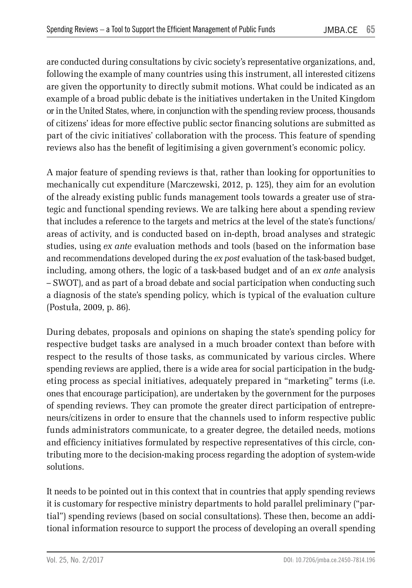are conducted during consultations by civic society's representative organizations, and, following the example of many countries using this instrument, all interested citizens are given the opportunity to directly submit motions. What could be indicated as an example of a broad public debate is the initiatives undertaken in the United Kingdom or in the United States, where, in conjunction with the spending review process, thousands of citizens' ideas for more effective public sector financing solutions are submitted as part of the civic initiatives' collaboration with the process. This feature of spending reviews also has the benefit of legitimising a given government's economic policy.

A major feature of spending reviews is that, rather than looking for opportunities to mechanically cut expenditure (Marczewski, 2012, p. 125), they aim for an evolution of the already existing public funds management tools towards a greater use of strategic and functional spending reviews. We are talking here about a spending review that includes a reference to the targets and metrics at the level of the state's functions/ areas of activity, and is conducted based on in-depth, broad analyses and strategic studies, using *ex ante* evaluation methods and tools (based on the information base and recommendations developed during the *ex post* evaluation of the task-based budget, including, among others, the logic of a task-based budget and of an *ex ante* analysis – SWOT), and as part of a broad debate and social participation when conducting such a diagnosis of the state's spending policy, which is typical of the evaluation culture (Postuła, 2009, p. 86).

During debates, proposals and opinions on shaping the state's spending policy for respective budget tasks are analysed in a much broader context than before with respect to the results of those tasks, as communicated by various circles. Where spending reviews are applied, there is a wide area for social participation in the budgeting process as special initiatives, adequately prepared in "marketing" terms (i.e. ones that encourage participation), are undertaken by the government for the purposes of spending reviews. They can promote the greater direct participation of entrepreneurs/citizens in order to ensure that the channels used to inform respective public funds administrators communicate, to a greater degree, the detailed needs, motions and efficiency initiatives formulated by respective representatives of this circle, contributing more to the decision-making process regarding the adoption of system-wide solutions.

It needs to be pointed out in this context that in countries that apply spending reviews it is customary for respective ministry departments to hold parallel preliminary ("partial") spending reviews (based on social consultations). These then, become an additional information resource to support the process of developing an overall spending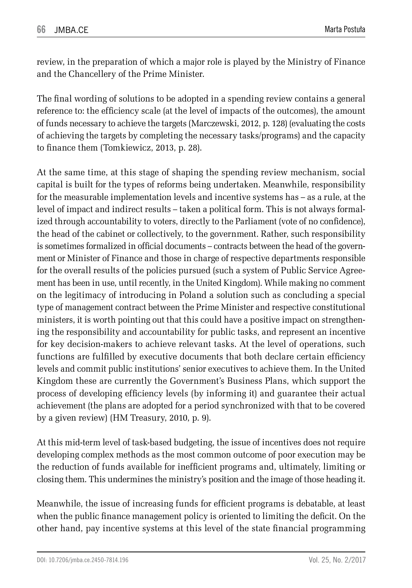review, in the preparation of which a major role is played by the Ministry of Finance and the Chancellery of the Prime Minister.

The final wording of solutions to be adopted in a spending review contains a general reference to: the efficiency scale (at the level of impacts of the outcomes), the amount of funds necessary to achieve the targets (Marczewski, 2012, p. 128) (evaluating the costs of achieving the targets by completing the necessary tasks/programs) and the capacity to finance them (Tomkiewicz, 2013, p. 28).

At the same time, at this stage of shaping the spending review mechanism, social capital is built for the types of reforms being undertaken. Meanwhile, responsibility for the measurable implementation levels and incentive systems has – as a rule, at the level of impact and indirect results – taken a political form. This is not always formalized through accountability to voters, directly to the Parliament (vote of no confidence), the head of the cabinet or collectively, to the government. Rather, such responsibility is sometimes formalized in official documents – contracts between the head of the government or Minister of Finance and those in charge of respective departments responsible for the overall results of the policies pursued (such a system of Public Service Agreement has been in use, until recently, in the United Kingdom). While making no comment on the legitimacy of introducing in Poland a solution such as concluding a special type of management contract between the Prime Minister and respective constitutional ministers, it is worth pointing out that this could have a positive impact on strengthening the responsibility and accountability for public tasks, and represent an incentive for key decision-makers to achieve relevant tasks. At the level of operations, such functions are fulfilled by executive documents that both declare certain efficiency levels and commit public institutions' senior executives to achieve them. In the United Kingdom these are currently the Government's Business Plans, which support the process of developing efficiency levels (by informing it) and guarantee their actual achievement (the plans are adopted for a period synchronized with that to be covered by a given review) (HM Treasury, 2010, p. 9).

At this mid-term level of task-based budgeting, the issue of incentives does not require developing complex methods as the most common outcome of poor execution may be the reduction of funds available for inefficient programs and, ultimately, limiting or closing them. This undermines the ministry's position and the image of those heading it.

Meanwhile, the issue of increasing funds for efficient programs is debatable, at least when the public finance management policy is oriented to limiting the deficit. On the other hand, pay incentive systems at this level of the state financial programming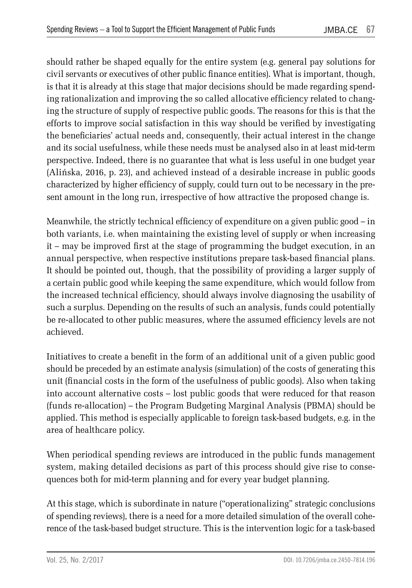should rather be shaped equally for the entire system (e.g. general pay solutions for civil servants or executives of other public finance entities). What is important, though, is that it is already at this stage that major decisions should be made regarding spending rationalization and improving the so called allocative efficiency related to changing the structure of supply of respective public goods. The reasons for this is that the efforts to improve social satisfaction in this way should be verified by investigating the beneficiaries' actual needs and, consequently, their actual interest in the change and its social usefulness, while these needs must be analysed also in at least mid-term perspective. Indeed, there is no guarantee that what is less useful in one budget year (Alińska, 2016, p. 23), and achieved instead of a desirable increase in public goods characterized by higher efficiency of supply, could turn out to be necessary in the present amount in the long run, irrespective of how attractive the proposed change is.

Meanwhile, the strictly technical efficiency of expenditure on a given public good – in both variants, i.e. when maintaining the existing level of supply or when increasing it – may be improved first at the stage of programming the budget execution, in an annual perspective, when respective institutions prepare task-based financial plans. It should be pointed out, though, that the possibility of providing a larger supply of a certain public good while keeping the same expenditure, which would follow from the increased technical efficiency, should always involve diagnosing the usability of such a surplus. Depending on the results of such an analysis, funds could potentially be re-allocated to other public measures, where the assumed efficiency levels are not achieved.

Initiatives to create a benefit in the form of an additional unit of a given public good should be preceded by an estimate analysis (simulation) of the costs of generating this unit (financial costs in the form of the usefulness of public goods). Also when taking into account alternative costs – lost public goods that were reduced for that reason (funds re-allocation) – the Program Budgeting Marginal Analysis (PBMA) should be applied. This method is especially applicable to foreign task-based budgets, e.g. in the area of healthcare policy.

When periodical spending reviews are introduced in the public funds management system, making detailed decisions as part of this process should give rise to consequences both for mid-term planning and for every year budget planning.

At this stage, which is subordinate in nature ("operationalizing" strategic conclusions of spending reviews), there is a need for a more detailed simulation of the overall coherence of the task-based budget structure. This is the intervention logic for a task-based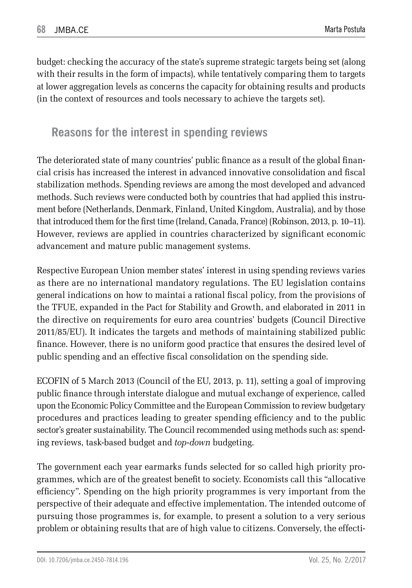budget: checking the accuracy of the state's supreme strategic targets being set (along with their results in the form of impacts), while tentatively comparing them to targets at lower aggregation levels as concerns the capacity for obtaining results and products (in the context of resources and tools necessary to achieve the targets set).

## **Reasons for the interest in spending reviews**

The deteriorated state of many countries' public finance as a result of the global financial crisis has increased the interest in advanced innovative consolidation and fiscal stabilization methods. Spending reviews are among the most developed and advanced methods. Such reviews were conducted both by countries that had applied this instrument before (Netherlands, Denmark, Finland, United Kingdom, Australia), and by those that introduced them for the first time (Ireland, Canada, France) (Robinson, 2013, p. 10–11). However, reviews are applied in countries characterized by significant economic advancement and mature public management systems.

Respective European Union member states' interest in using spending reviews varies as there are no international mandatory regulations. The EU legislation contains general indications on how to maintai a rational fiscal policy, from the provisions of the TFUE, expanded in the Pact for Stability and Growth, and elaborated in 2011 in the directive on requirements for euro area countries' budgets (Council Directive 2011/85/EU). It indicates the targets and methods of maintaining stabilized public finance. However, there is no uniform good practice that ensures the desired level of public spending and an effective fiscal consolidation on the spending side.

ECOFIN of 5 March 2013 (Council of the EU, 2013, p. 11), setting a goal of improving public finance through interstate dialogue and mutual exchange of experience, called upon the Economic Policy Committee and the European Commission to review budgetary procedures and practices leading to greater spending efficiency and to the public sector's greater sustainability. The Council recommended using methods such as: spending reviews, task-based budget and *top-down* budgeting.

The government each year earmarks funds selected for so called high priority programmes, which are of the greatest benefit to society. Economists call this "allocative efficiency". Spending on the high priority programmes is very important from the perspective of their adequate and effective implementation. The intended outcome of pursuing those programmes is, for example, to present a solution to a very serious problem or obtaining results that are of high value to citizens. Conversely, the effecti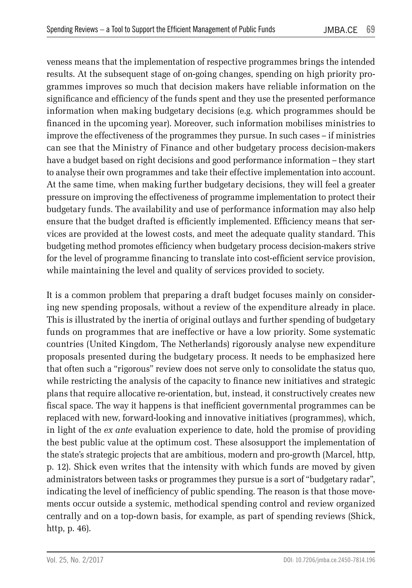veness means that the implementation of respective programmes brings the intended results. At the subsequent stage of on-going changes, spending on high priority programmes improves so much that decision makers have reliable information on the significance and efficiency of the funds spent and they use the presented performance information when making budgetary decisions (e.g. which programmes should be financed in the upcoming year). Moreover, such information mobilises ministries to improve the effectiveness of the programmes they pursue. In such cases – if ministries can see that the Ministry of Finance and other budgetary process decision-makers have a budget based on right decisions and good performance information – they start to analyse their own programmes and take their effective implementation into account. At the same time, when making further budgetary decisions, they will feel a greater pressure on improving the effectiveness of programme implementation to protect their budgetary funds. The availability and use of performance information may also help ensure that the budget drafted is efficiently implemented. Efficiency means that services are provided at the lowest costs, and meet the adequate quality standard. This budgeting method promotes efficiency when budgetary process decision-makers strive for the level of programme financing to translate into cost-efficient service provision, while maintaining the level and quality of services provided to society.

It is a common problem that preparing a draft budget focuses mainly on considering new spending proposals, without a review of the expenditure already in place. This is illustrated by the inertia of original outlays and further spending of budgetary funds on programmes that are ineffective or have a low priority. Some systematic countries (United Kingdom, The Netherlands) rigorously analyse new expenditure proposals presented during the budgetary process. It needs to be emphasized here that often such a "rigorous" review does not serve only to consolidate the status quo, while restricting the analysis of the capacity to finance new initiatives and strategic plans that require allocative re-orientation, but, instead, it constructively creates new fiscal space. The way it happens is that inefficient governmental programmes can be replaced with new, forward-looking and innovative initiatives (programmes), which, in light of the *ex ante* evaluation experience to date, hold the promise of providing the best public value at the optimum cost. These alsosupport the implementation of the state's strategic projects that are ambitious, modern and pro-growth (Marcel, http, p. 12). Shick even writes that the intensity with which funds are moved by given administrators between tasks or programmes they pursue is a sort of "budgetary radar", indicating the level of inefficiency of public spending. The reason is that those movements occur outside a systemic, methodical spending control and review organized centrally and on a top-down basis, for example, as part of spending reviews (Shick, http, p. 46).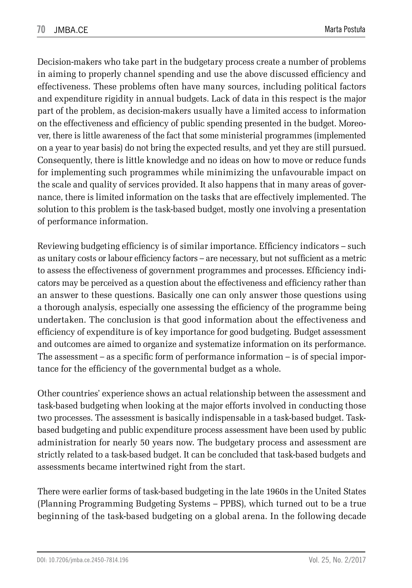Decision-makers who take part in the budgetary process create a number of problems in aiming to properly channel spending and use the above discussed efficiency and effectiveness. These problems often have many sources, including political factors and expenditure rigidity in annual budgets. Lack of data in this respect is the major part of the problem, as decision-makers usually have a limited access to information on the effectiveness and efficiency of public spending presented in the budget. Moreover, there is little awareness of the fact that some ministerial programmes (implemented on a year to year basis) do not bring the expected results, and yet they are still pursued. Consequently, there is little knowledge and no ideas on how to move or reduce funds for implementing such programmes while minimizing the unfavourable impact on the scale and quality of services provided. It also happens that in many areas of governance, there is limited information on the tasks that are effectively implemented. The solution to this problem is the task-based budget, mostly one involving a presentation of performance information.

Reviewing budgeting efficiency is of similar importance. Efficiency indicators – such as unitary costs or labour efficiency factors – are necessary, but not sufficient as a metric to assess the effectiveness of government programmes and processes. Efficiency indicators may be perceived as a question about the effectiveness and efficiency rather than an answer to these questions. Basically one can only answer those questions using a thorough analysis, especially one assessing the efficiency of the programme being undertaken. The conclusion is that good information about the effectiveness and efficiency of expenditure is of key importance for good budgeting. Budget assessment and outcomes are aimed to organize and systematize information on its performance. The assessment – as a specific form of performance information – is of special importance for the efficiency of the governmental budget as a whole.

Other countries' experience shows an actual relationship between the assessment and task-based budgeting when looking at the major efforts involved in conducting those two processes. The assessment is basically indispensable in a task-based budget. Taskbased budgeting and public expenditure process assessment have been used by public administration for nearly 50 years now. The budgetary process and assessment are strictly related to a task-based budget. It can be concluded that task-based budgets and assessments became intertwined right from the start.

There were earlier forms of task-based budgeting in the late 1960s in the United States (Planning Programming Budgeting Systems – PPBS), which turned out to be a true beginning of the task-based budgeting on a global arena. In the following decade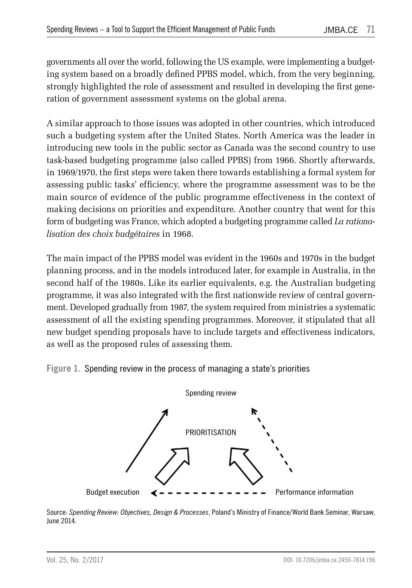governments all over the world, following the US example, were implementing a budgeting system based on a broadly defined PPBS model, which, from the very beginning, strongly highlighted the role of assessment and resulted in developing the first generation of government assessment systems on the global arena.

A similar approach to those issues was adopted in other countries, which introduced such a budgeting system after the United States. North America was the leader in introducing new tools in the public sector as Canada was the second country to use task-based budgeting programme (also called PPBS) from 1966. Shortly afterwards, in 1969/1970, the first steps were taken there towards establishing a formal system for assessing public tasks' efficiency, where the programme assessment was to be the main source of evidence of the public programme effectiveness in the context of making decisions on priorities and expenditure. Another country that went for this form of budgeting was France, which adopted a budgeting programme called *La rationalisation des choix budgétaires* in 1968.

The main impact of the PPBS model was evident in the 1960s and 1970s in the budget planning process, and in the models introduced later, for example in Australia, in the second half of the 1980s. Like its earlier equivalents, e.g. the Australian budgeting programme, it was also integrated with the first nationwide review of central government. Developed gradually from 1987, the system required from ministries a systematic assessment of all the existing spending programmes. Moreover, it stipulated that all new budget spending proposals have to include targets and effectiveness indicators, as well as the proposed rules of assessing them.





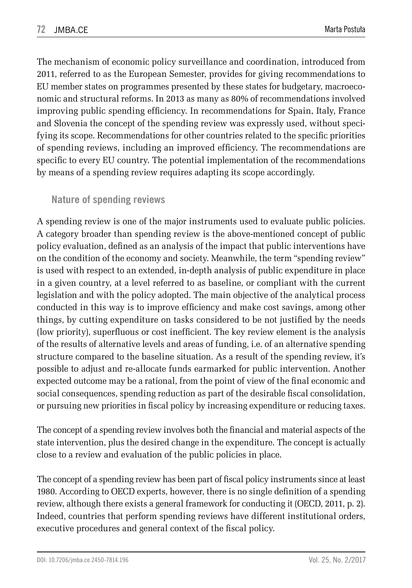The mechanism of economic policy surveillance and coordination, introduced from 2011, referred to as the European Semester, provides for giving recommendations to EU member states on programmes presented by these states for budgetary, macroeconomic and structural reforms. In 2013 as many as 80% of recommendations involved improving public spending efficiency. In recommendations for Spain, Italy, France and Slovenia the concept of the spending review was expressly used, without specifying its scope. Recommendations for other countries related to the specific priorities of spending reviews, including an improved efficiency. The recommendations are specific to every EU country. The potential implementation of the recommendations by means of a spending review requires adapting its scope accordingly.

#### **Nature of spending reviews**

A spending review is one of the major instruments used to evaluate public policies. A category broader than spending review is the above-mentioned concept of public policy evaluation, defined as an analysis of the impact that public interventions have on the condition of the economy and society. Meanwhile, the term "spending review" is used with respect to an extended, in-depth analysis of public expenditure in place in a given country, at a level referred to as baseline, or compliant with the current legislation and with the policy adopted. The main objective of the analytical process conducted in this way is to improve efficiency and make cost savings, among other things, by cutting expenditure on tasks considered to be not justified by the needs (low priority), superfluous or cost inefficient. The key review element is the analysis of the results of alternative levels and areas of funding, i.e. of an alternative spending structure compared to the baseline situation. As a result of the spending review, it's possible to adjust and re-allocate funds earmarked for public intervention. Another expected outcome may be a rational, from the point of view of the final economic and social consequences, spending reduction as part of the desirable fiscal consolidation, or pursuing new priorities in fiscal policy by increasing expenditure or reducing taxes.

The concept of a spending review involves both the financial and material aspects of the state intervention, plus the desired change in the expenditure. The concept is actually close to a review and evaluation of the public policies in place.

The concept of a spending review has been part of fiscal policy instruments since at least 1980. According to OECD experts, however, there is no single definition of a spending review, although there exists a general framework for conducting it (OECD, 2011, p. 2). Indeed, countries that perform spending reviews have different institutional orders, executive procedures and general context of the fiscal policy.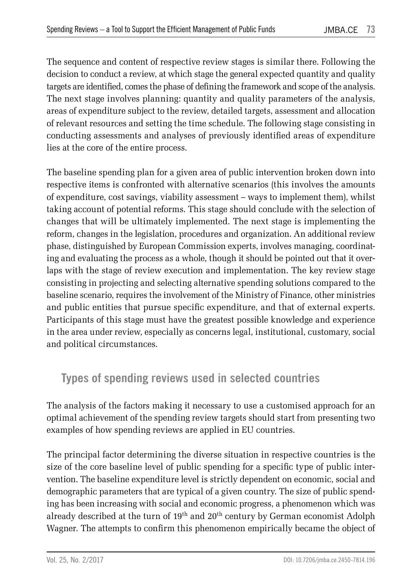The sequence and content of respective review stages is similar there. Following the decision to conduct a review, at which stage the general expected quantity and quality targets are identified, comes the phase of defining the framework and scope of the analysis. The next stage involves planning: quantity and quality parameters of the analysis, areas of expenditure subject to the review, detailed targets, assessment and allocation of relevant resources and setting the time schedule. The following stage consisting in conducting assessments and analyses of previously identified areas of expenditure lies at the core of the entire process.

The baseline spending plan for a given area of public intervention broken down into respective items is confronted with alternative scenarios (this involves the amounts of expenditure, cost savings, viability assessment – ways to implement them), whilst taking account of potential reforms. This stage should conclude with the selection of changes that will be ultimately implemented. The next stage is implementing the reform, changes in the legislation, procedures and organization. An additional review phase, distinguished by European Commission experts, involves managing, coordinating and evaluating the process as a whole, though it should be pointed out that it overlaps with the stage of review execution and implementation. The key review stage consisting in projecting and selecting alternative spending solutions compared to the baseline scenario, requires the involvement of the Ministry of Finance, other ministries and public entities that pursue specific expenditure, and that of external experts. Participants of this stage must have the greatest possible knowledge and experience in the area under review, especially as concerns legal, institutional, customary, social and political circumstances.

## **Types of spending reviews used in selected countries**

The analysis of the factors making it necessary to use a customised approach for an optimal achievement of the spending review targets should start from presenting two examples of how spending reviews are applied in EU countries.

The principal factor determining the diverse situation in respective countries is the size of the core baseline level of public spending for a specific type of public intervention. The baseline expenditure level is strictly dependent on economic, social and demographic parameters that are typical of a given country. The size of public spending has been increasing with social and economic progress, a phenomenon which was already described at the turn of 19<sup>th</sup> and 20<sup>th</sup> century by German economist Adolph Wagner. The attempts to confirm this phenomenon empirically became the object of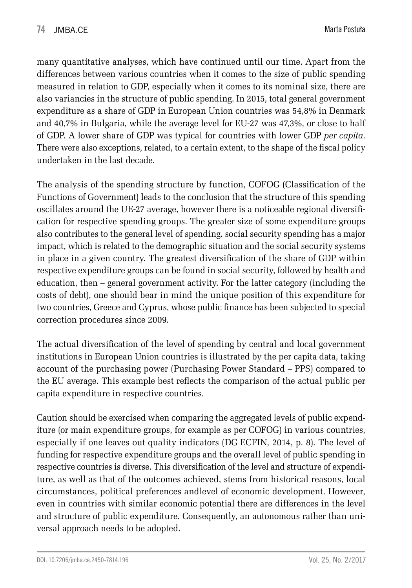many quantitative analyses, which have continued until our time. Apart from the differences between various countries when it comes to the size of public spending measured in relation to GDP, especially when it comes to its nominal size, there are also variancies in the structure of public spending. In 2015, total general government expenditure as a share of GDP in European Union countries was 54,8% in Denmark and 40,7% in Bulgaria, while the average level for EU-27 was 47,3%, or close to half of GDP. A lower share of GDP was typical for countries with lower GDP *per capita*. There were also exceptions, related, to a certain extent, to the shape of the fiscal policy undertaken in the last decade.

The analysis of the spending structure by function, COFOG (Classification of the Functions of Government) leads to the conclusion that the structure of this spending oscillates around the UE-27 average, however there is a noticeable regional diversification for respective spending groups. The greater size of some expenditure groups also contributes to the general level of spending. social security spending has a major impact, which is related to the demographic situation and the social security systems in place in a given country. The greatest diversification of the share of GDP within respective expenditure groups can be found in social security, followed by health and education, then – general government activity. For the latter category (including the costs of debt), one should bear in mind the unique position of this expenditure for two countries, Greece and Cyprus, whose public finance has been subjected to special correction procedures since 2009.

The actual diversification of the level of spending by central and local government institutions in European Union countries is illustrated by the per capita data, taking account of the purchasing power (Purchasing Power Standard – PPS) compared to the EU average. This example best reflects the comparison of the actual public per capita expenditure in respective countries.

Caution should be exercised when comparing the aggregated levels of public expenditure (or main expenditure groups, for example as per COFOG) in various countries, especially if one leaves out quality indicators (DG ECFIN, 2014, p. 8). The level of funding for respective expenditure groups and the overall level of public spending in respective countries is diverse. This diversification of the level and structure of expenditure, as well as that of the outcomes achieved, stems from historical reasons, local circumstances, political preferences andlevel of economic development. However, even in countries with similar economic potential there are differences in the level and structure of public expenditure. Consequently, an autonomous rather than universal approach needs to be adopted.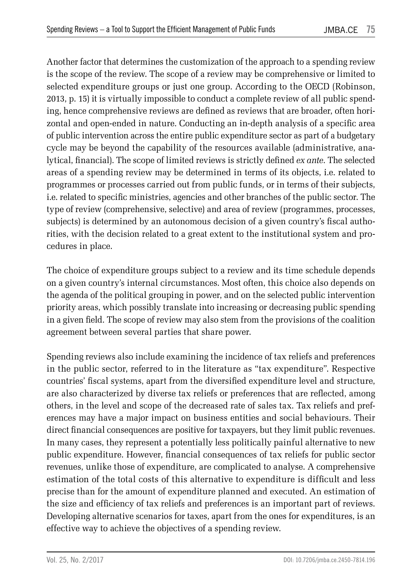Another factor that determines the customization of the approach to a spending review is the scope of the review. The scope of a review may be comprehensive or limited to selected expenditure groups or just one group. According to the OECD (Robinson, 2013, p. 15) it is virtually impossible to conduct a complete review of all public spending, hence comprehensive reviews are defined as reviews that are broader, often horizontal and open-ended in nature. Conducting an in-depth analysis of a specific area of public intervention across the entire public expenditure sector as part of a budgetary cycle may be beyond the capability of the resources available (administrative, analytical, financial). The scope of limited reviews is strictly defined *ex ante*. The selected areas of a spending review may be determined in terms of its objects, i.e. related to programmes or processes carried out from public funds, or in terms of their subjects, i.e. related to specific ministries, agencies and other branches of the public sector. The type of review (comprehensive, selective) and area of review (programmes, processes, subjects) is determined by an autonomous decision of a given country's fiscal authorities, with the decision related to a great extent to the institutional system and procedures in place.

The choice of expenditure groups subject to a review and its time schedule depends on a given country's internal circumstances. Most often, this choice also depends on the agenda of the political grouping in power, and on the selected public intervention priority areas, which possibly translate into increasing or decreasing public spending in a given field. The scope of review may also stem from the provisions of the coalition agreement between several parties that share power.

Spending reviews also include examining the incidence of tax reliefs and preferences in the public sector, referred to in the literature as "tax expenditure". Respective countries' fiscal systems, apart from the diversified expenditure level and structure, are also characterized by diverse tax reliefs or preferences that are reflected, among others, in the level and scope of the decreased rate of sales tax. Tax reliefs and preferences may have a major impact on business entities and social behaviours. Their direct financial consequences are positive for taxpayers, but they limit public revenues. In many cases, they represent a potentially less politically painful alternative to new public expenditure. However, financial consequences of tax reliefs for public sector revenues, unlike those of expenditure, are complicated to analyse. A comprehensive estimation of the total costs of this alternative to expenditure is difficult and less precise than for the amount of expenditure planned and executed. An estimation of the size and efficiency of tax reliefs and preferences is an important part of reviews. Developing alternative scenarios for taxes, apart from the ones for expenditures, is an effective way to achieve the objectives of a spending review.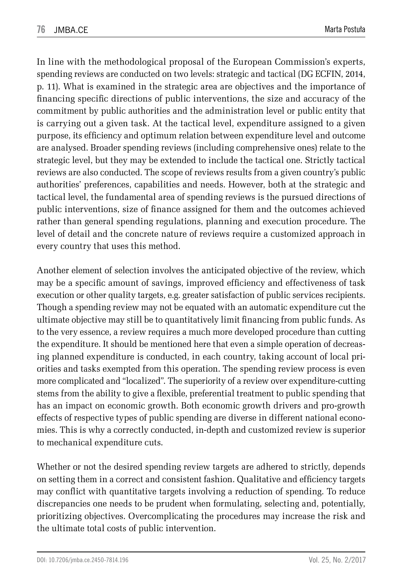In line with the methodological proposal of the European Commission's experts, spending reviews are conducted on two levels: strategic and tactical (DG ECFIN, 2014, p. 11). What is examined in the strategic area are objectives and the importance of financing specific directions of public interventions, the size and accuracy of the commitment by public authorities and the administration level or public entity that is carrying out a given task. At the tactical level, expenditure assigned to a given purpose, its efficiency and optimum relation between expenditure level and outcome are analysed. Broader spending reviews (including comprehensive ones) relate to the strategic level, but they may be extended to include the tactical one. Strictly tactical reviews are also conducted. The scope of reviews results from a given country's public authorities' preferences, capabilities and needs. However, both at the strategic and tactical level, the fundamental area of spending reviews is the pursued directions of public interventions, size of finance assigned for them and the outcomes achieved rather than general spending regulations, planning and execution procedure. The level of detail and the concrete nature of reviews require a customized approach in every country that uses this method.

Another element of selection involves the anticipated objective of the review, which may be a specific amount of savings, improved efficiency and effectiveness of task execution or other quality targets, e.g. greater satisfaction of public services recipients. Though a spending review may not be equated with an automatic expenditure cut the ultimate objective may still be to quantitatively limit financing from public funds. As to the very essence, a review requires a much more developed procedure than cutting the expenditure. It should be mentioned here that even a simple operation of decreasing planned expenditure is conducted, in each country, taking account of local priorities and tasks exempted from this operation. The spending review process is even more complicated and "localized". The superiority of a review over expenditure-cutting stems from the ability to give a flexible, preferential treatment to public spending that has an impact on economic growth. Both economic growth drivers and pro-growth effects of respective types of public spending are diverse in different national economies. This is why a correctly conducted, in-depth and customized review is superior to mechanical expenditure cuts.

Whether or not the desired spending review targets are adhered to strictly, depends on setting them in a correct and consistent fashion. Qualitative and efficiency targets may conflict with quantitative targets involving a reduction of spending. To reduce discrepancies one needs to be prudent when formulating, selecting and, potentially, prioritizing objectives. Overcomplicating the procedures may increase the risk and the ultimate total costs of public intervention.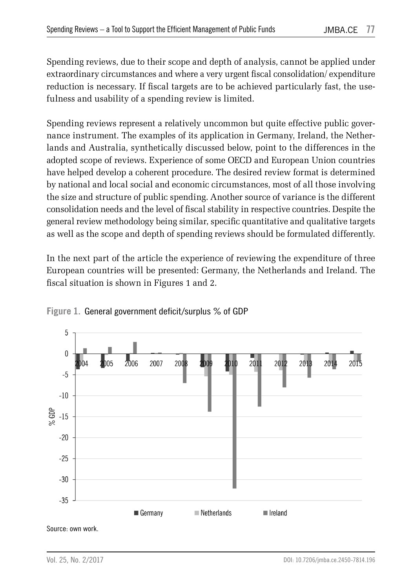Spending reviews, due to their scope and depth of analysis, cannot be applied under extraordinary circumstances and where a very urgent fiscal consolidation/ expenditure reduction is necessary. If fiscal targets are to be achieved particularly fast, the usefulness and usability of a spending review is limited.

Spending reviews represent a relatively uncommon but quite effective public governance instrument. The examples of its application in Germany, Ireland, the Netherlands and Australia, synthetically discussed below, point to the differences in the adopted scope of reviews. Experience of some OECD and European Union countries have helped develop a coherent procedure. The desired review format is determined by national and local social and economic circumstances, most of all those involving the size and structure of public spending. Another source of variance is the different consolidation needs and the level of fiscal stability in respective countries. Despite the general review methodology being similar, specific quantitative and qualitative targets as well as the scope and depth of spending reviews should be formulated differently.

In the next part of the article the experience of reviewing the expenditure of three European countries will be presented: Germany, the Netherlands and Ireland. The fiscal situation is shown in Figures 1 and 2.



**Figure 1.** General government deficit/surplus % of GDP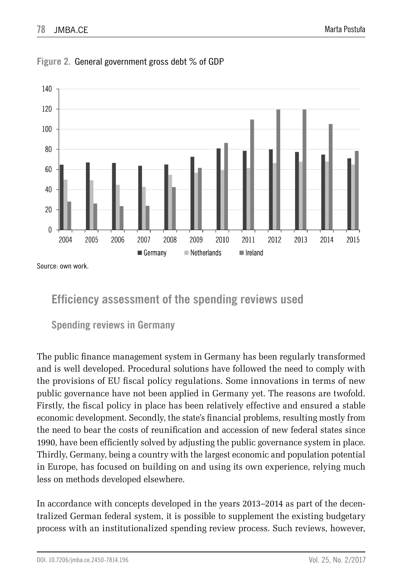

**Figure 2.** General government gross debt % of GDP

Source: own work.

## **Efficiency assessment of the spending reviews used**

### **Spending reviews in Germany**

The public finance management system in Germany has been regularly transformed and is well developed. Procedural solutions have followed the need to comply with the provisions of EU fiscal policy regulations. Some innovations in terms of new public governance have not been applied in Germany yet. The reasons are twofold. Firstly, the fiscal policy in place has been relatively effective and ensured a stable economic development. Secondly, the state's financial problems, resulting mostly from the need to bear the costs of reunification and accession of new federal states since 1990, have been efficiently solved by adjusting the public governance system in place. Thirdly, Germany, being a country with the largest economic and population potential in Europe, has focused on building on and using its own experience, relying much less on methods developed elsewhere.

In accordance with concepts developed in the years 2013–2014 as part of the decentralized German federal system, it is possible to supplement the existing budgetary process with an institutionalized spending review process. Such reviews, however,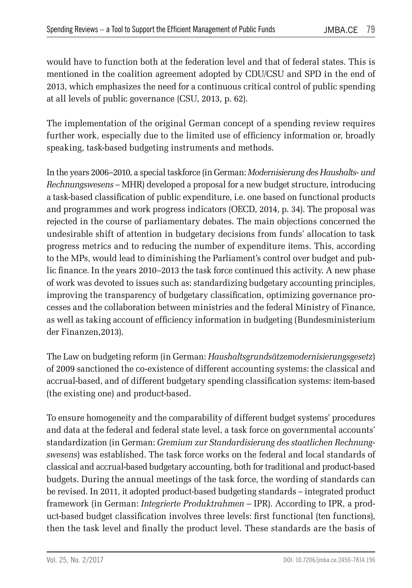would have to function both at the federation level and that of federal states. This is mentioned in the coalition agreement adopted by CDU/CSU and SPD in the end of 2013, which emphasizes the need for a continuous critical control of public spending at all levels of public governance (CSU, 2013, p. 62).

The implementation of the original German concept of a spending review requires further work, especially due to the limited use of efficiency information or, broadly speaking, task-based budgeting instruments and methods.

In the years 2006–2010, a special taskforce (in German: *Modernisierung des Haushalts- und Rechnungswesens –* MHR) developed a proposal for a new budget structure, introducing a task-based classification of public expenditure, i.e. one based on functional products and programmes and work progress indicators (OECD, 2014, p. 34). The proposal was rejected in the course of parliamentary debates. The main objections concerned the undesirable shift of attention in budgetary decisions from funds' allocation to task progress metrics and to reducing the number of expenditure items. This, according to the MPs, would lead to diminishing the Parliament's control over budget and public finance. In the years 2010–2013 the task force continued this activity. A new phase of work was devoted to issues such as: standardizing budgetary accounting principles, improving the transparency of budgetary classification, optimizing governance processes and the collaboration between ministries and the federal Ministry of Finance, as well as taking account of efficiency information in budgeting (Bundesministerium der Finanzen,2013).

The Law on budgeting reform (in German: *Haushaltsgrundsätzemodernisierungsgesetz*) of 2009 sanctioned the co-existence of different accounting systems: the classical and accrual-based, and of different budgetary spending classification systems: item-based (the existing one) and product-based.

To ensure homogeneity and the comparability of different budget systems' procedures and data at the federal and federal state level, a task force on governmental accounts' standardization (in German: *Gremium zur Standardisierung des staatlichen Rechnungswesens*) was established. The task force works on the federal and local standards of classical and accrual-based budgetary accounting, both for traditional and product-based budgets. During the annual meetings of the task force, the wording of standards can be revised. In 2011, it adopted product-based budgeting standards – integrated product framework (in German: *Integrierte Produktrahmen –* IPR). According to IPR, a product-based budget classification involves three levels: first functional (ten functions), then the task level and finally the product level. These standards are the basis of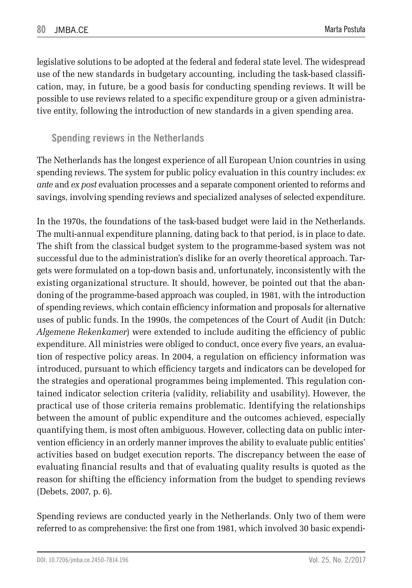legislative solutions to be adopted at the federal and federal state level. The widespread use of the new standards in budgetary accounting, including the task-based classification, may, in future, be a good basis for conducting spending reviews. It will be possible to use reviews related to a specific expenditure group or a given administrative entity, following the introduction of new standards in a given spending area.

#### **Spending reviews in the Netherlands**

The Netherlands has the longest experience of all European Union countries in using spending reviews. The system for public policy evaluation in this country includes: *ex ante* and *ex post* evaluation processes and a separate component oriented to reforms and savings, involving spending reviews and specialized analyses of selected expenditure.

In the 1970s, the foundations of the task-based budget were laid in the Netherlands. The multi-annual expenditure planning, dating back to that period, is in place to date. The shift from the classical budget system to the programme-based system was not successful due to the administration's dislike for an overly theoretical approach. Targets were formulated on a top-down basis and, unfortunately, inconsistently with the existing organizational structure. It should, however, be pointed out that the abandoning of the programme-based approach was coupled, in 1981, with the introduction of spending reviews, which contain efficiency information and proposals for alternative uses of public funds. In the 1990s, the competences of the Court of Audit (in Dutch: *Algemene Rekenkamer*) were extended to include auditing the efficiency of public expenditure. All ministries were obliged to conduct, once every five years, an evaluation of respective policy areas. In 2004, a regulation on efficiency information was introduced, pursuant to which efficiency targets and indicators can be developed for the strategies and operational programmes being implemented. This regulation contained indicator selection criteria (validity, reliability and usability). However, the practical use of those criteria remains problematic. Identifying the relationships between the amount of public expenditure and the outcomes achieved, especially quantifying them, is most often ambiguous. However, collecting data on public intervention efficiency in an orderly manner improves the ability to evaluate public entities' activities based on budget execution reports. The discrepancy between the ease of evaluating financial results and that of evaluating quality results is quoted as the reason for shifting the efficiency information from the budget to spending reviews (Debets, 2007, p. 6).

Spending reviews are conducted yearly in the Netherlands. Only two of them were referred to as comprehensive: the first one from 1981, which involved 30 basic expendi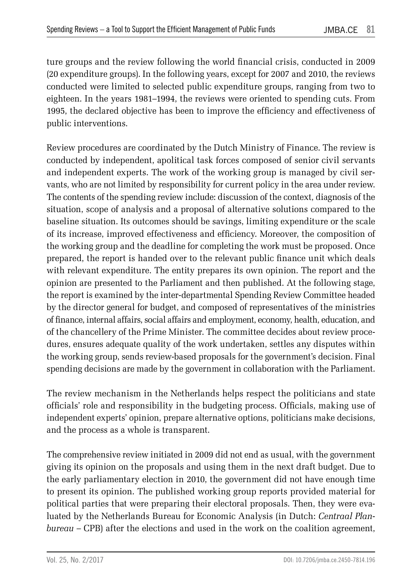ture groups and the review following the world financial crisis, conducted in 2009 (20 expenditure groups). In the following years, except for 2007 and 2010, the reviews conducted were limited to selected public expenditure groups, ranging from two to eighteen. In the years 1981–1994, the reviews were oriented to spending cuts. From 1995, the declared objective has been to improve the efficiency and effectiveness of public interventions.

Review procedures are coordinated by the Dutch Ministry of Finance. The review is conducted by independent, apolitical task forces composed of senior civil servants and independent experts. The work of the working group is managed by civil servants, who are not limited by responsibility for current policy in the area under review. The contents of the spending review include: discussion of the context, diagnosis of the situation, scope of analysis and a proposal of alternative solutions compared to the baseline situation. Its outcomes should be savings, limiting expenditure or the scale of its increase, improved effectiveness and efficiency. Moreover, the composition of the working group and the deadline for completing the work must be proposed. Once prepared, the report is handed over to the relevant public finance unit which deals with relevant expenditure. The entity prepares its own opinion. The report and the opinion are presented to the Parliament and then published. At the following stage, the report is examined by the inter-departmental Spending Review Committee headed by the director general for budget, and composed of representatives of the ministries of finance, internal affairs, social affairs and employment, economy, health, education, and of the chancellery of the Prime Minister. The committee decides about review procedures, ensures adequate quality of the work undertaken, settles any disputes within the working group, sends review-based proposals for the government's decision. Final spending decisions are made by the government in collaboration with the Parliament.

The review mechanism in the Netherlands helps respect the politicians and state officials' role and responsibility in the budgeting process. Officials, making use of independent experts' opinion, prepare alternative options, politicians make decisions, and the process as a whole is transparent.

The comprehensive review initiated in 2009 did not end as usual, with the government giving its opinion on the proposals and using them in the next draft budget. Due to the early parliamentary election in 2010, the government did not have enough time to present its opinion. The published working group reports provided material for political parties that were preparing their electoral proposals. Then, they were evaluated by the Netherlands Bureau for Economic Analysis (in Dutch: *Centraal Planbureau* – CPB) after the elections and used in the work on the coalition agreement,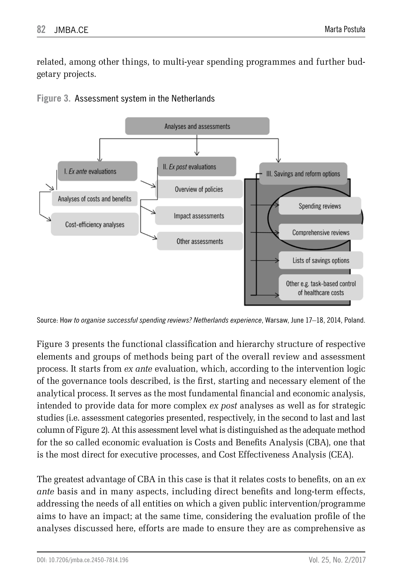related, among other things, to multi-year spending programmes and further budgetary projects.



**Figure 3.** Assessment system in the Netherlands

Source: Ho*w to organise successful spending reviews? Netherlands experience*, Warsaw, June 17–18, 2014, Poland.

Figure 3 presents the functional classification and hierarchy structure of respective elements and groups of methods being part of the overall review and assessment process. It starts from *ex ante* evaluation, which, according to the intervention logic of the governance tools described, is the first, starting and necessary element of the analytical process. It serves as the most fundamental financial and economic analysis, intended to provide data for more complex *ex post* analyses as well as for strategic studies (i.e. assessment categories presented, respectively, in the second to last and last column of Figure 2). At this assessment level what is distinguished as the adequate method for the so called economic evaluation is Costs and Benefits Analysis (CBA), one that is the most direct for executive processes, and Cost Effectiveness Analysis (CEA).

The greatest advantage of CBA in this case is that it relates costs to benefits, on an *ex ante* basis and in many aspects, including direct benefits and long-term effects, addressing the needs of all entities on which a given public intervention/programme aims to have an impact; at the same time, considering the evaluation profile of the analyses discussed here, efforts are made to ensure they are as comprehensive as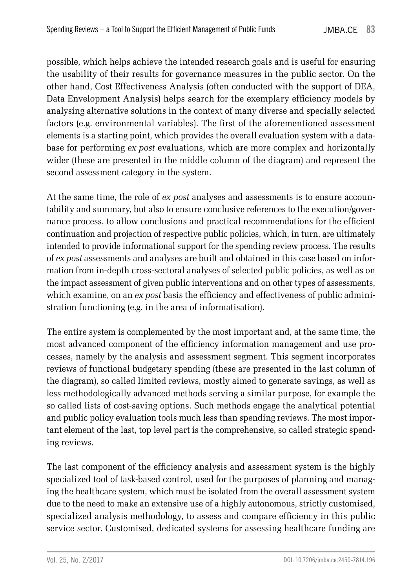possible, which helps achieve the intended research goals and is useful for ensuring the usability of their results for governance measures in the public sector. On the other hand, Cost Effectiveness Analysis (often conducted with the support of DEA, Data Envelopment Analysis) helps search for the exemplary efficiency models by analysing alternative solutions in the context of many diverse and specially selected factors (e.g. environmental variables). The first of the aforementioned assessment elements is a starting point, which provides the overall evaluation system with a database for performing *ex post* evaluations, which are more complex and horizontally wider (these are presented in the middle column of the diagram) and represent the second assessment category in the system.

At the same time, the role of *ex post* analyses and assessments is to ensure accountability and summary, but also to ensure conclusive references to the execution/governance process, to allow conclusions and practical recommendations for the efficient continuation and projection of respective public policies, which, in turn, are ultimately intended to provide informational support for the spending review process. The results of *ex post* assessments and analyses are built and obtained in this case based on information from in-depth cross-sectoral analyses of selected public policies, as well as on the impact assessment of given public interventions and on other types of assessments, which examine, on an *ex post* basis the efficiency and effectiveness of public administration functioning (e.g. in the area of informatisation).

The entire system is complemented by the most important and, at the same time, the most advanced component of the efficiency information management and use processes, namely by the analysis and assessment segment. This segment incorporates reviews of functional budgetary spending (these are presented in the last column of the diagram), so called limited reviews, mostly aimed to generate savings, as well as less methodologically advanced methods serving a similar purpose, for example the so called lists of cost-saving options. Such methods engage the analytical potential and public policy evaluation tools much less than spending reviews. The most important element of the last, top level part is the comprehensive, so called strategic spending reviews.

The last component of the efficiency analysis and assessment system is the highly specialized tool of task-based control, used for the purposes of planning and managing the healthcare system, which must be isolated from the overall assessment system due to the need to make an extensive use of a highly autonomous, strictly customised, specialized analysis methodology, to assess and compare efficiency in this public service sector. Customised, dedicated systems for assessing healthcare funding are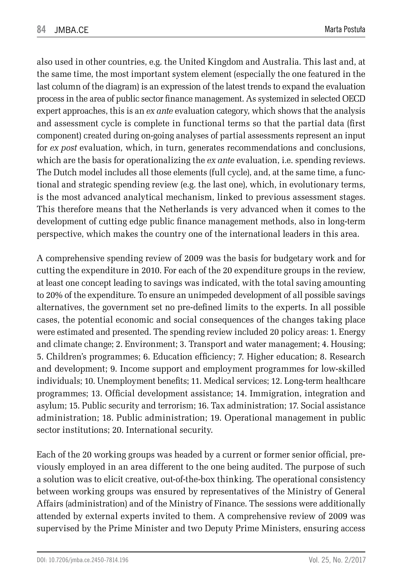also used in other countries, e.g. the United Kingdom and Australia. This last and, at the same time, the most important system element (especially the one featured in the last column of the diagram) is an expression of the latest trends to expand the evaluation process in the area of public sector finance management. As systemized in selected OECD expert approaches, this is an *ex ante* evaluation category, which shows that the analysis and assessment cycle is complete in functional terms so that the partial data (first component) created during on-going analyses of partial assessments represent an input for *ex post* evaluation*,* which, in turn, generates recommendations and conclusions, which are the basis for operationalizing the *ex ante* evaluation, i.e. spending reviews. The Dutch model includes all those elements (full cycle), and, at the same time, a functional and strategic spending review (e.g. the last one), which, in evolutionary terms, is the most advanced analytical mechanism, linked to previous assessment stages. This therefore means that the Netherlands is very advanced when it comes to the development of cutting edge public finance management methods, also in long-term perspective, which makes the country one of the international leaders in this area.

A comprehensive spending review of 2009 was the basis for budgetary work and for cutting the expenditure in 2010. For each of the 20 expenditure groups in the review, at least one concept leading to savings was indicated, with the total saving amounting to 20% of the expenditure. To ensure an unimpeded development of all possible savings alternatives, the government set no pre-defined limits to the experts. In all possible cases, the potential economic and social consequences of the changes taking place were estimated and presented. The spending review included 20 policy areas: 1. Energy and climate change; 2. Environment; 3. Transport and water management; 4. Housing; 5. Children's programmes; 6. Education efficiency; 7. Higher education; 8. Research and development; 9. Income support and employment programmes for low-skilled individuals; 10. Unemployment benefits; 11. Medical services; 12. Long-term healthcare programmes; 13. Official development assistance; 14. Immigration, integration and asylum; 15. Public security and terrorism; 16. Tax administration; 17. Social assistance administration; 18. Public administration; 19. Operational management in public sector institutions; 20. International security.

Each of the 20 working groups was headed by a current or former senior official, previously employed in an area different to the one being audited. The purpose of such a solution was to elicit creative, out-of-the-box thinking. The operational consistency between working groups was ensured by representatives of the Ministry of General Affairs (administration) and of the Ministry of Finance. The sessions were additionally attended by external experts invited to them. A comprehensive review of 2009 was supervised by the Prime Minister and two Deputy Prime Ministers, ensuring access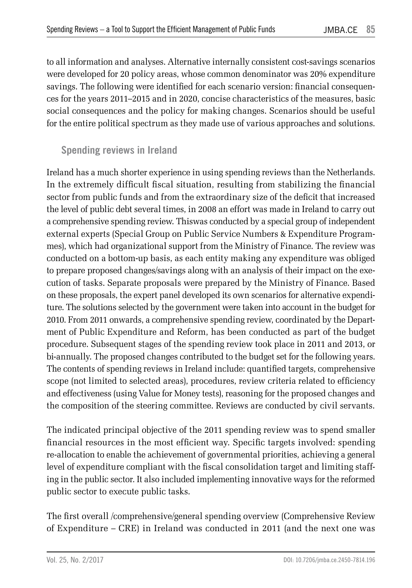to all information and analyses. Alternative internally consistent cost-savings scenarios were developed for 20 policy areas, whose common denominator was 20% expenditure savings. The following were identified for each scenario version: financial consequences for the years 2011–2015 and in 2020, concise characteristics of the measures, basic social consequences and the policy for making changes. Scenarios should be useful for the entire political spectrum as they made use of various approaches and solutions.

#### **Spending reviews in Ireland**

Ireland has a much shorter experience in using spending reviews than the Netherlands. In the extremely difficult fiscal situation, resulting from stabilizing the financial sector from public funds and from the extraordinary size of the deficit that increased the level of public debt several times, in 2008 an effort was made in Ireland to carry out a comprehensive spending review. Thiswas conducted by a special group of independent external experts (Special Group on Public Service Numbers & Expenditure Programmes), which had organizational support from the Ministry of Finance. The review was conducted on a bottom-up basis, as each entity making any expenditure was obliged to prepare proposed changes/savings along with an analysis of their impact on the execution of tasks. Separate proposals were prepared by the Ministry of Finance. Based on these proposals, the expert panel developed its own scenarios for alternative expenditure. The solutions selected by the government were taken into account in the budget for 2010. From 2011 onwards, a comprehensive spending review, coordinated by the Department of Public Expenditure and Reform, has been conducted as part of the budget procedure. Subsequent stages of the spending review took place in 2011 and 2013, or bi-annually. The proposed changes contributed to the budget set for the following years. The contents of spending reviews in Ireland include: quantified targets, comprehensive scope (not limited to selected areas), procedures, review criteria related to efficiency and effectiveness (using Value for Money tests), reasoning for the proposed changes and the composition of the steering committee. Reviews are conducted by civil servants.

The indicated principal objective of the 2011 spending review was to spend smaller financial resources in the most efficient way. Specific targets involved: spending re-allocation to enable the achievement of governmental priorities, achieving a general level of expenditure compliant with the fiscal consolidation target and limiting staffing in the public sector. It also included implementing innovative ways for the reformed public sector to execute public tasks.

The first overall /comprehensive/general spending overview (Comprehensive Review of Expenditure – CRE) in Ireland was conducted in 2011 (and the next one was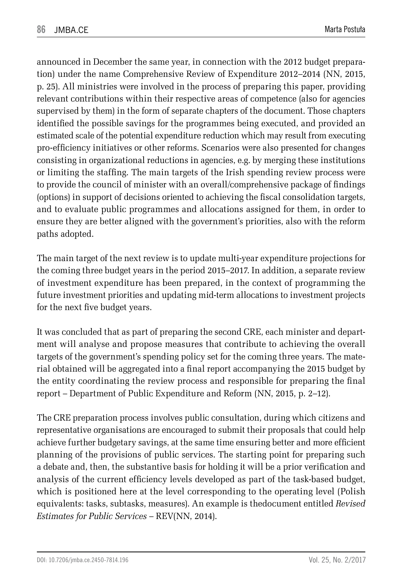announced in December the same year, in connection with the 2012 budget preparation) under the name Comprehensive Review of Expenditure 2012–2014 (NN, 2015, p. 25). All ministries were involved in the process of preparing this paper, providing relevant contributions within their respective areas of competence (also for agencies supervised by them) in the form of separate chapters of the document. Those chapters identified the possible savings for the programmes being executed, and provided an estimated scale of the potential expenditure reduction which may result from executing pro-efficiency initiatives or other reforms. Scenarios were also presented for changes consisting in organizational reductions in agencies, e.g. by merging these institutions or limiting the staffing. The main targets of the Irish spending review process were to provide the council of minister with an overall/comprehensive package of findings (options) in support of decisions oriented to achieving the fiscal consolidation targets, and to evaluate public programmes and allocations assigned for them, in order to ensure they are better aligned with the government's priorities, also with the reform paths adopted.

The main target of the next review is to update multi-year expenditure projections for the coming three budget years in the period 2015–2017. In addition, a separate review of investment expenditure has been prepared, in the context of programming the future investment priorities and updating mid-term allocations to investment projects for the next five budget years.

It was concluded that as part of preparing the second CRE, each minister and department will analyse and propose measures that contribute to achieving the overall targets of the government's spending policy set for the coming three years. The material obtained will be aggregated into a final report accompanying the 2015 budget by the entity coordinating the review process and responsible for preparing the final report – Department of Public Expenditure and Reform (NN, 2015, p. 2–12).

The CRE preparation process involves public consultation, during which citizens and representative organisations are encouraged to submit their proposals that could help achieve further budgetary savings, at the same time ensuring better and more efficient planning of the provisions of public services. The starting point for preparing such a debate and, then, the substantive basis for holding it will be a prior verification and analysis of the current efficiency levels developed as part of the task-based budget, which is positioned here at the level corresponding to the operating level (Polish equivalents: tasks, subtasks, measures). An example is thedocument entitled *Revised Estimates for Public Services* – REV(NN, 2014).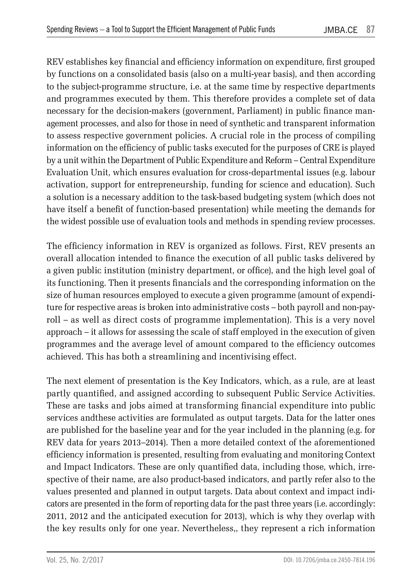REV establishes key financial and efficiency information on expenditure, first grouped by functions on a consolidated basis (also on a multi-year basis), and then according to the subject-programme structure, i.e. at the same time by respective departments and programmes executed by them. This therefore provides a complete set of data necessary for the decision-makers (government, Parliament) in public finance management processes, and also for those in need of synthetic and transparent information to assess respective government policies. A crucial role in the process of compiling information on the efficiency of public tasks executed for the purposes of CRE is played by a unit within the Department of Public Expenditure and Reform – Central Expenditure Evaluation Unit, which ensures evaluation for cross-departmental issues (e.g. labour activation, support for entrepreneurship, funding for science and education). Such a solution is a necessary addition to the task-based budgeting system (which does not have itself a benefit of function-based presentation) while meeting the demands for the widest possible use of evaluation tools and methods in spending review processes.

The efficiency information in REV is organized as follows. First, REV presents an overall allocation intended to finance the execution of all public tasks delivered by a given public institution (ministry department, or office), and the high level goal of its functioning. Then it presents financials and the corresponding information on the size of human resources employed to execute a given programme (amount of expenditure for respective areas is broken into administrative costs – both payroll and non-payroll – as well as direct costs of programme implementation). This is a very novel approach – it allows for assessing the scale of staff employed in the execution of given programmes and the average level of amount compared to the efficiency outcomes achieved. This has both a streamlining and incentivising effect.

The next element of presentation is the Key Indicators, which, as a rule, are at least partly quantified, and assigned according to subsequent Public Service Activities. These are tasks and jobs aimed at transforming financial expenditure into public services andthese activities are formulated as output targets. Data for the latter ones are published for the baseline year and for the year included in the planning (e.g. for REV data for years 2013–2014). Then a more detailed context of the aforementioned efficiency information is presented, resulting from evaluating and monitoring Context and Impact Indicators. These are only quantified data, including those, which, irrespective of their name, are also product-based indicators, and partly refer also to the values presented and planned in output targets. Data about context and impact indicators are presented in the form of reporting data for the past three years (i.e. accordingly: 2011, 2012 and the anticipated execution for 2013), which is why they overlap with the key results only for one year. Nevertheless,, they represent a rich information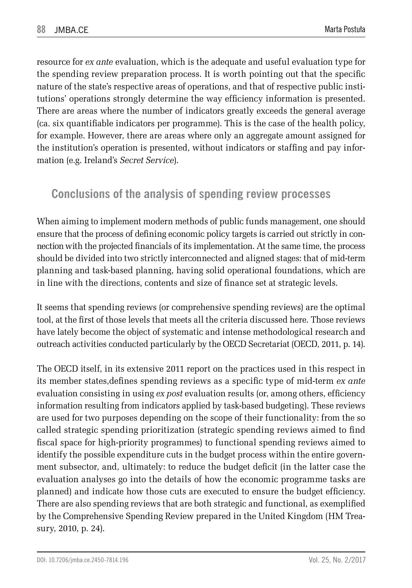resource for *ex ante* evaluation, which is the adequate and useful evaluation type for the spending review preparation process. It is worth pointing out that the specific nature of the state's respective areas of operations, and that of respective public institutions' operations strongly determine the way efficiency information is presented. There are areas where the number of indicators greatly exceeds the general average (ca. six quantifiable indicators per programme). This is the case of the health policy, for example. However, there are areas where only an aggregate amount assigned for the institution's operation is presented, without indicators or staffing and pay information (e.g. Ireland's *Secret Service*).

## **Conclusions of the analysis of spending review processes**

When aiming to implement modern methods of public funds management, one should ensure that the process of defining economic policy targets is carried out strictly in connection with the projected financials of its implementation. At the same time, the process should be divided into two strictly interconnected and aligned stages: that of mid-term planning and task-based planning, having solid operational foundations, which are in line with the directions, contents and size of finance set at strategic levels.

It seems that spending reviews (or comprehensive spending reviews) are the optimal tool, at the first of those levels that meets all the criteria discussed here. Those reviews have lately become the object of systematic and intense methodological research and outreach activities conducted particularly by the OECD Secretariat (OECD, 2011, p. 14).

The OECD itself, in its extensive 2011 report on the practices used in this respect in its member states,defines spending reviews as a specific type of mid-term *ex ante* evaluation consisting in using *ex post* evaluation results (or, among others, efficiency information resulting from indicators applied by task-based budgeting). These reviews are used for two purposes depending on the scope of their functionality: from the so called strategic spending prioritization (strategic spending reviews aimed to find fiscal space for high-priority programmes) to functional spending reviews aimed to identify the possible expenditure cuts in the budget process within the entire government subsector, and, ultimately: to reduce the budget deficit (in the latter case the evaluation analyses go into the details of how the economic programme tasks are planned) and indicate how those cuts are executed to ensure the budget efficiency. There are also spending reviews that are both strategic and functional, as exemplified by the Comprehensive Spending Review prepared in the United Kingdom (HM Treasury, 2010, p. 24).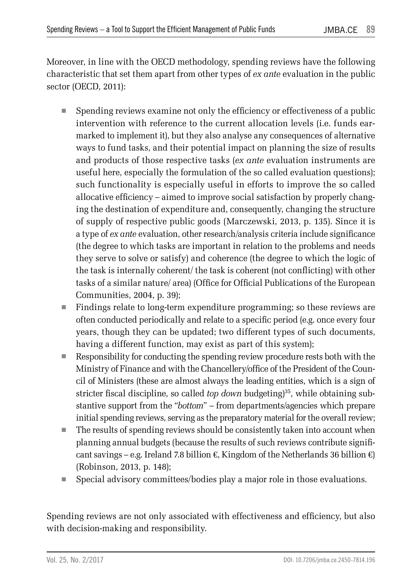Moreover, in line with the OECD methodology, spending reviews have the following characteristic that set them apart from other types of *ex ante* evaluation in the public sector (OECD, 2011):

- Spending reviews examine not only the efficiency or effectiveness of a public intervention with reference to the current allocation levels (i.e. funds earmarked to implement it), but they also analyse any consequences of alternative ways to fund tasks, and their potential impact on planning the size of results and products of those respective tasks (*ex ante* evaluation instruments are useful here, especially the formulation of the so called evaluation questions); such functionality is especially useful in efforts to improve the so called allocative efficiency – aimed to improve social satisfaction by properly changing the destination of expenditure and, consequently, changing the structure of supply of respective public goods (Marczewski, 2013, p. 135). Since it is a type of *ex ante* evaluation, other research/analysis criteria include significance (the degree to which tasks are important in relation to the problems and needs they serve to solve or satisfy) and coherence (the degree to which the logic of the task is internally coherent/ the task is coherent (not conflicting) with other tasks of a similar nature/ area) (Office for Official Publications of the European Communities, 2004, p. 39);
- Findings relate to long-term expenditure programming; so these reviews are often conducted periodically and relate to a specific period (e.g. once every four years, though they can be updated; two different types of such documents, having a different function, may exist as part of this system);
- Responsibility for conducting the spending review procedure rests both with the Ministry of Finance and with the Chancellery/office of the President of the Council of Ministers (these are almost always the leading entities, which is a sign of stricter fiscal discipline, so called *top down* budgeting)<sup>35</sup>, while obtaining substantive support from the "*bottom*" – from departments/agencies which prepare initial spending reviews, serving as the preparatory material for the overall review;
- The results of spending reviews should be consistently taken into account when planning annual budgets (because the results of such reviews contribute significant savings – e.g. Ireland 7.8 billion  $\epsilon$ , Kingdom of the Netherlands 36 billion  $\epsilon$ ) (Robinson, 2013, p. 148);
- Special advisory committees/bodies play a major role in those evaluations.

Spending reviews are not only associated with effectiveness and efficiency, but also with decision-making and responsibility.